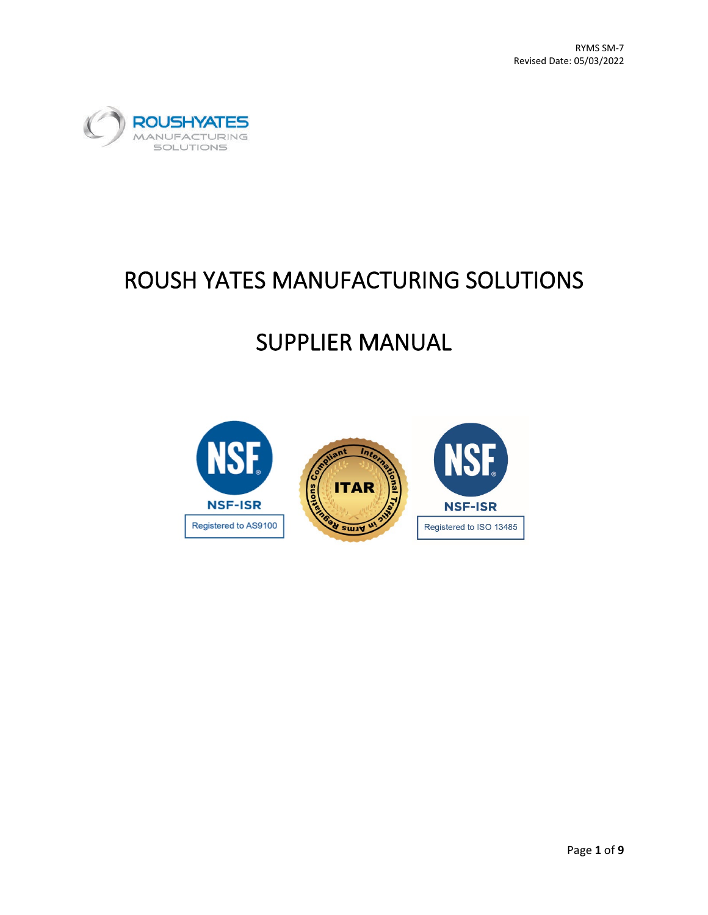

# ROUSH YATES MANUFACTURING SOLUTIONS

# SUPPLIER MANUAL

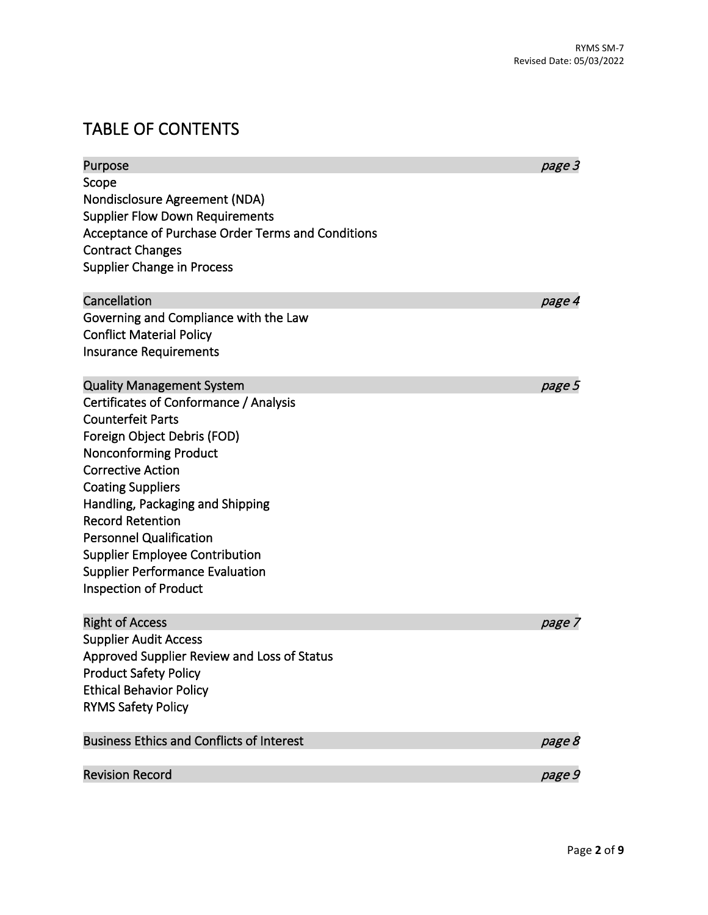# TABLE OF CONTENTS

| Purpose                                           | page 3 |
|---------------------------------------------------|--------|
| Scope                                             |        |
| Nondisclosure Agreement (NDA)                     |        |
| <b>Supplier Flow Down Requirements</b>            |        |
| Acceptance of Purchase Order Terms and Conditions |        |
| <b>Contract Changes</b>                           |        |
| <b>Supplier Change in Process</b>                 |        |
| Cancellation                                      | page 4 |
| Governing and Compliance with the Law             |        |
| <b>Conflict Material Policy</b>                   |        |
| <b>Insurance Requirements</b>                     |        |
| <b>Quality Management System</b>                  | page 5 |
| Certificates of Conformance / Analysis            |        |
| <b>Counterfeit Parts</b>                          |        |
| Foreign Object Debris (FOD)                       |        |
| <b>Nonconforming Product</b>                      |        |
| <b>Corrective Action</b>                          |        |
| <b>Coating Suppliers</b>                          |        |
| Handling, Packaging and Shipping                  |        |
| <b>Record Retention</b>                           |        |
| <b>Personnel Qualification</b>                    |        |
| <b>Supplier Employee Contribution</b>             |        |
| <b>Supplier Performance Evaluation</b>            |        |
| <b>Inspection of Product</b>                      |        |
| <b>Right of Access</b>                            | page 7 |
| <b>Supplier Audit Access</b>                      |        |
| Approved Supplier Review and Loss of Status       |        |
| <b>Product Safety Policy</b>                      |        |
| <b>Ethical Behavior Policy</b>                    |        |
| <b>RYMS Safety Policy</b>                         |        |
| <b>Business Ethics and Conflicts of Interest</b>  | page 8 |
| <b>Revision Record</b>                            | page 9 |
|                                                   |        |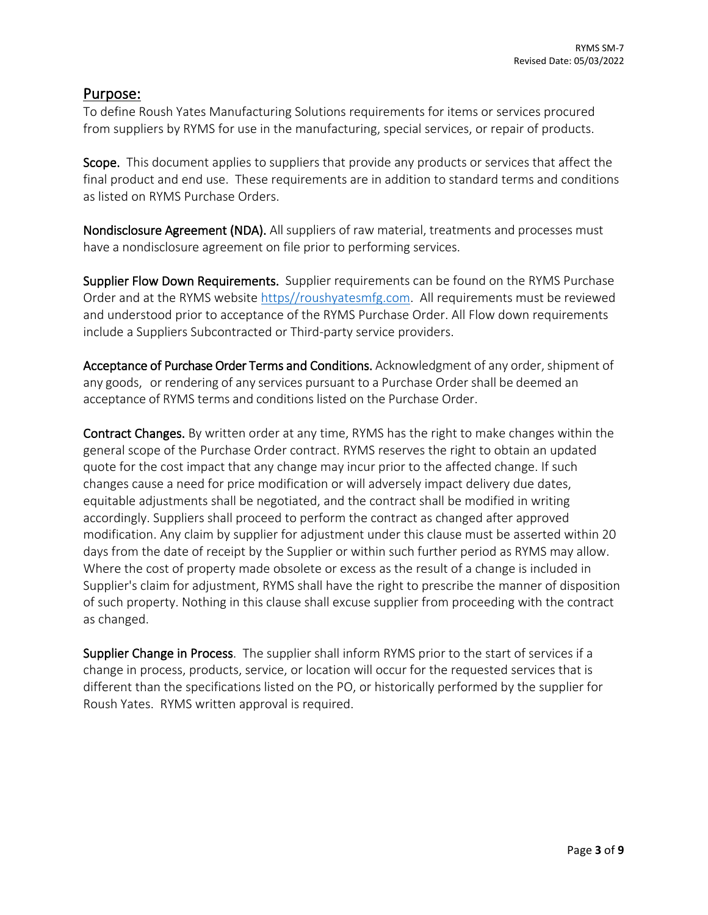#### Purpose:

To define Roush Yates Manufacturing Solutions requirements for items or services procured from suppliers by RYMS for use in the manufacturing, special services, or repair of products.

Scope. This document applies to suppliers that provide any products or services that affect the final product and end use. These requirements are in addition to standard terms and conditions as listed on RYMS Purchase Orders.

Nondisclosure Agreement (NDA). All suppliers of raw material, treatments and processes must have a nondisclosure agreement on file prior to performing services.

Supplier Flow Down Requirements. Supplier requirements can be found on the RYMS Purchase Order and at the RYMS website [https//roushyatesmfg.com.](https://roushyatesmfg.com/) All requirements must be reviewed and understood prior to acceptance of the RYMS Purchase Order. All Flow down requirements include a Suppliers Subcontracted or Third-party service providers.

Acceptance of Purchase Order Terms and Conditions. Acknowledgment of any order, shipment of any goods, or rendering of any services pursuant to a Purchase Order shall be deemed an acceptance of RYMS terms and conditions listed on the Purchase Order.

Contract Changes. By written order at any time, RYMS has the right to make changes within the general scope of the Purchase Order contract. RYMS reserves the right to obtain an updated quote for the cost impact that any change may incur prior to the affected change. If such changes cause a need for price modification or will adversely impact delivery due dates, equitable adjustments shall be negotiated, and the contract shall be modified in writing accordingly. Suppliers shall proceed to perform the contract as changed after approved modification. Any claim by supplier for adjustment under this clause must be asserted within 20 days from the date of receipt by the Supplier or within such further period as RYMS may allow. Where the cost of property made obsolete or excess as the result of a change is included in Supplier's claim for adjustment, RYMS shall have the right to prescribe the manner of disposition of such property. Nothing in this clause shall excuse supplier from proceeding with the contract as changed.

Supplier Change in Process. The supplier shall inform RYMS prior to the start of services if a change in process, products, service, or location will occur for the requested services that is different than the specifications listed on the PO, or historically performed by the supplier for Roush Yates. RYMS written approval is required.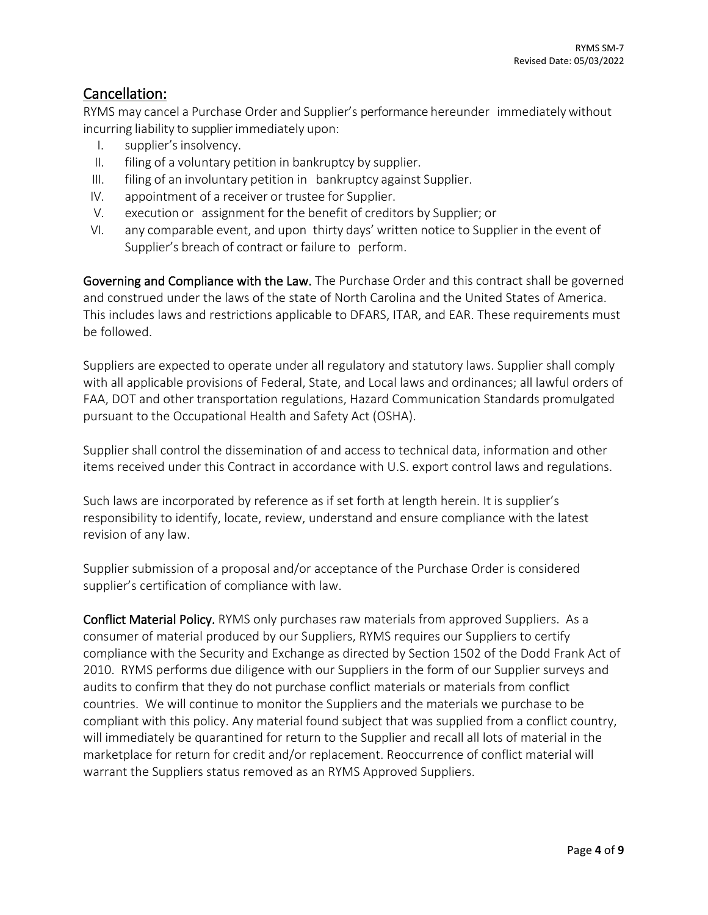### Cancellation:

RYMS may cancel a Purchase Order and Supplier's performance hereunder immediatelywithout incurring liability to supplier immediately upon:

- I. supplier's insolvency.
- II. filing of a voluntary petition in bankruptcy by supplier.
- III. filing of an involuntary petition in bankruptcy against Supplier.
- IV. appointment of a receiver or trustee for Supplier.
- V. execution or assignment for the benefit of creditors by Supplier; or
- VI. any comparable event, and upon thirty days' written notice to Supplier in the event of Supplier's breach of contract or failure to perform.

Governing and Compliance with the Law. The Purchase Order and this contract shall be governed and construed under the laws of the state of North Carolina and the United States of America. This includes laws and restrictions applicable to DFARS, ITAR, and EAR. These requirements must be followed.

Suppliers are expected to operate under all regulatory and statutory laws. Supplier shall comply with all applicable provisions of Federal, State, and Local laws and ordinances; all lawful orders of FAA, DOT and other transportation regulations, Hazard Communication Standards promulgated pursuant to the Occupational Health and Safety Act (OSHA).

Supplier shall control the dissemination of and access to technical data, information and other items received under this Contract in accordance with U.S. export control laws and regulations.

Such laws are incorporated by reference as if set forth at length herein. It is supplier's responsibility to identify, locate, review, understand and ensure compliance with the latest revision of any law.

Supplier submission of a proposal and/or acceptance of the Purchase Order is considered supplier's certification of compliance with law.

Conflict Material Policy. RYMS only purchases raw materials from approved Suppliers. As a consumer of material produced by our Suppliers, RYMS requires our Suppliers to certify compliance with the Security and Exchange as directed by Section 1502 of the Dodd Frank Act of 2010. RYMS performs due diligence with our Suppliers in the form of our Supplier surveys and audits to confirm that they do not purchase conflict materials or materials from conflict countries. We will continue to monitor the Suppliers and the materials we purchase to be compliant with this policy. Any material found subject that was supplied from a conflict country, will immediately be quarantined for return to the Supplier and recall all lots of material in the marketplace for return for credit and/or replacement. Reoccurrence of conflict material will warrant the Suppliers status removed as an RYMS Approved Suppliers.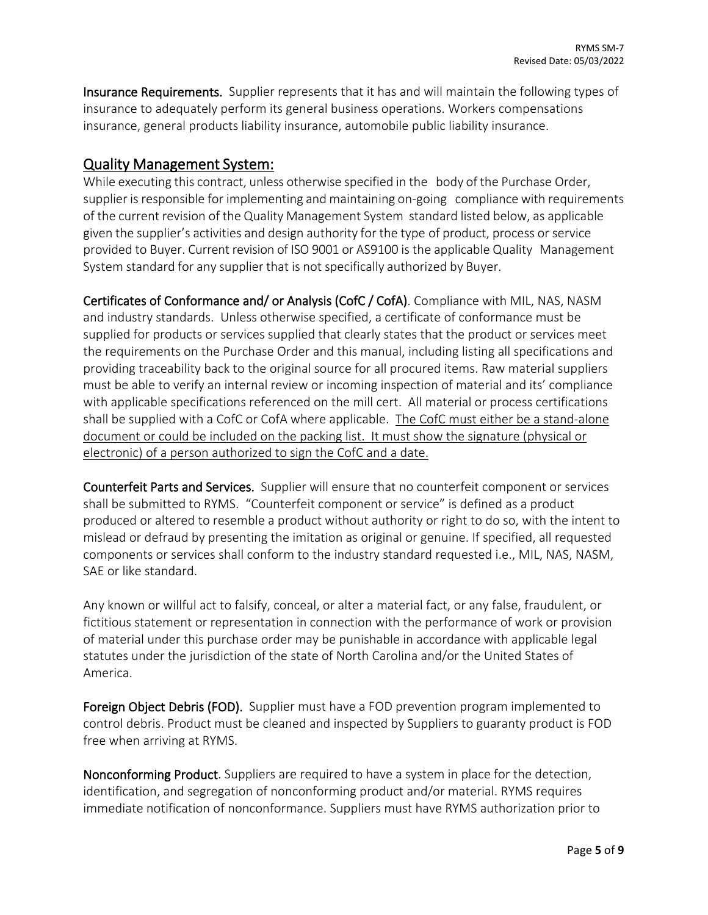Insurance Requirements. Supplier represents that it has and will maintain the following types of insurance to adequately perform its general business operations. Workers compensations insurance, general products liability insurance, automobile public liability insurance.

### Quality Management System:

While executing this contract, unless otherwise specified in the body of the Purchase Order, supplier is responsible for implementing and maintaining on-going compliance with requirements of the current revision of the Quality Management System standard listed below, as applicable given the supplier's activities and design authority for the type of product, process or service provided to Buyer. Current revision of ISO 9001 or AS9100 is the applicable Quality Management System standard for any supplier that is not specifically authorized by Buyer.

Certificates of Conformance and/ or Analysis (CofC / CofA). Compliance with MIL, NAS, NASM and industry standards. Unless otherwise specified, a certificate of conformance must be supplied for products or services supplied that clearly states that the product or services meet the requirements on the Purchase Order and this manual, including listing all specifications and providing traceability back to the original source for all procured items. Raw material suppliers must be able to verify an internal review or incoming inspection of material and its' compliance with applicable specifications referenced on the mill cert. All material or process certifications shall be supplied with a CofC or CofA where applicable. The CofC must either be a stand-alone document or could be included on the packing list. It must show the signature (physical or electronic) of a person authorized to sign the CofC and a date.

Counterfeit Parts and Services. Supplier will ensure that no counterfeit component or services shall be submitted to RYMS. "Counterfeit component or service" is defined as a product produced or altered to resemble a product without authority or right to do so, with the intent to mislead or defraud by presenting the imitation as original or genuine. If specified, all requested components or services shall conform to the industry standard requested i.e., MIL, NAS, NASM, SAE or like standard.

Any known or willful act to falsify, conceal, or alter a material fact, or any false, fraudulent, or fictitious statement or representation in connection with the performance of work or provision of material under this purchase order may be punishable in accordance with applicable legal statutes under the jurisdiction of the state of North Carolina and/or the United States of America.

Foreign Object Debris (FOD). Supplier must have a FOD prevention program implemented to control debris. Product must be cleaned and inspected by Suppliers to guaranty product is FOD free when arriving at RYMS.

Nonconforming Product. Suppliers are required to have a system in place for the detection, identification, and segregation of nonconforming product and/or material. RYMS requires immediate notification of nonconformance. Suppliers must have RYMS authorization prior to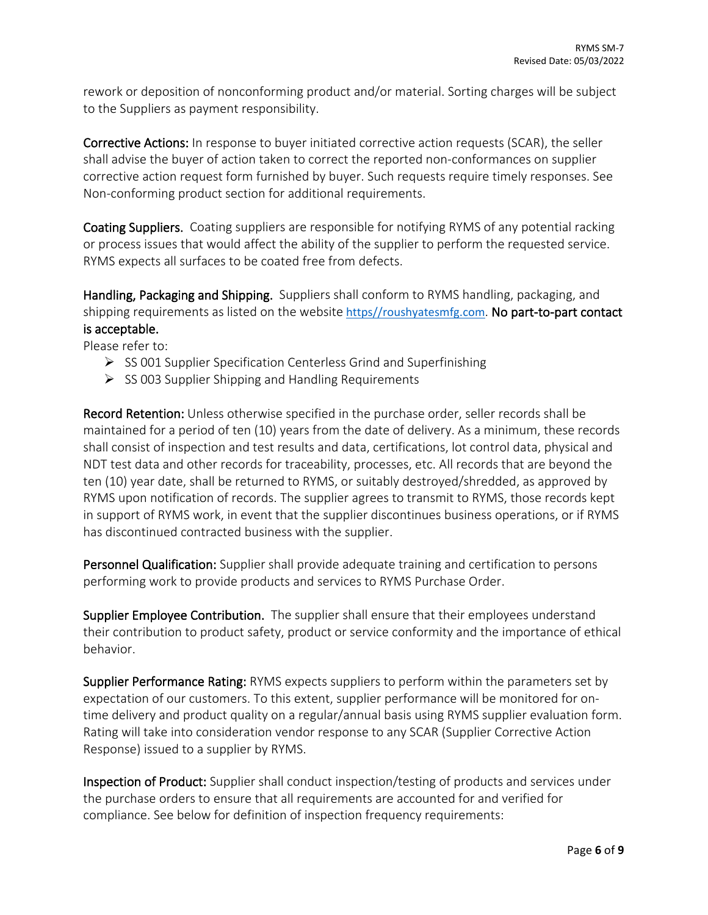rework or deposition of nonconforming product and/or material. Sorting charges will be subject to the Suppliers as payment responsibility.

Corrective Actions: In response to buyer initiated corrective action requests (SCAR), the seller shall advise the buyer of action taken to correct the reported non-conformances on supplier corrective action request form furnished by buyer. Such requests require timely responses. See Non-conforming product section for additional requirements.

Coating Suppliers. Coating suppliers are responsible for notifying RYMS of any potential racking or process issues that would affect the ability of the supplier to perform the requested service. RYMS expects all surfaces to be coated free from defects.

Handling, Packaging and Shipping. Suppliers shall conform to RYMS handling, packaging, and shipping requirements as listed on the website [https//roushyatesmfg.com](https://roushyatesmfg.com/). No part-to-part contact is acceptable.

Please refer to:

- $\triangleright$  SS 001 Supplier Specification Centerless Grind and Superfinishing
- $\triangleright$  SS 003 Supplier Shipping and Handling Requirements

Record Retention: Unless otherwise specified in the purchase order, seller records shall be maintained for a period of ten (10) years from the date of delivery. As a minimum, these records shall consist of inspection and test results and data, certifications, lot control data, physical and NDT test data and other records for traceability, processes, etc. All records that are beyond the ten (10) year date, shall be returned to RYMS, or suitably destroyed/shredded, as approved by RYMS upon notification of records. The supplier agrees to transmit to RYMS, those records kept in support of RYMS work, in event that the supplier discontinues business operations, or if RYMS has discontinued contracted business with the supplier.

Personnel Qualification: Supplier shall provide adequate training and certification to persons performing work to provide products and services to RYMS Purchase Order.

Supplier Employee Contribution. The supplier shall ensure that their employees understand their contribution to product safety, product or service conformity and the importance of ethical behavior.

Supplier Performance Rating: RYMS expects suppliers to perform within the parameters set by expectation of our customers. To this extent, supplier performance will be monitored for ontime delivery and product quality on a regular/annual basis using RYMS supplier evaluation form. Rating will take into consideration vendor response to any SCAR (Supplier Corrective Action Response) issued to a supplier by RYMS.

Inspection of Product: Supplier shall conduct inspection/testing of products and services under the purchase orders to ensure that all requirements are accounted for and verified for compliance. See below for definition of inspection frequency requirements: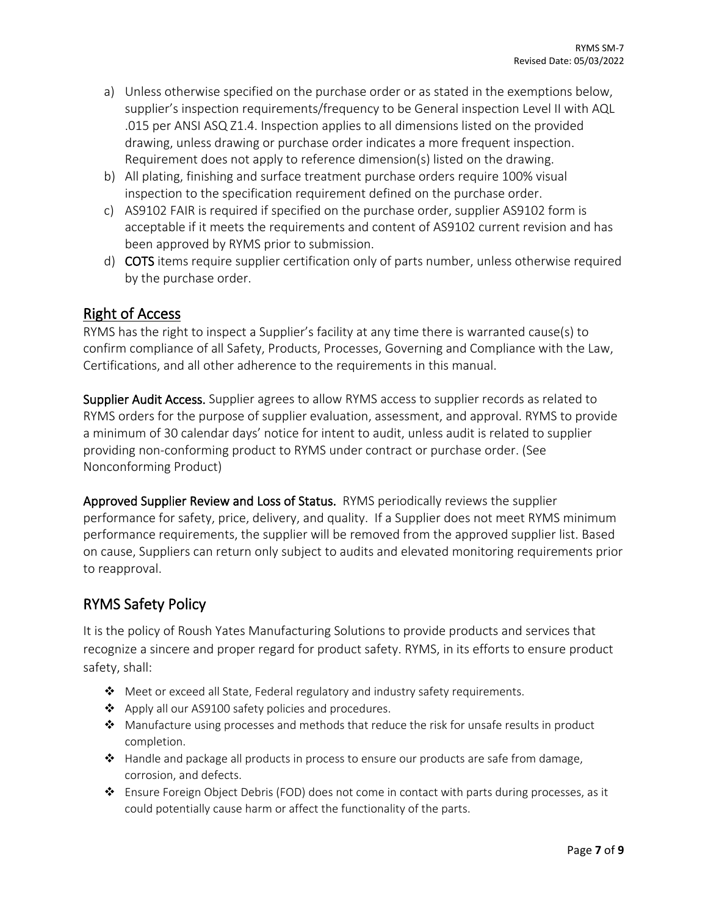- a) Unless otherwise specified on the purchase order or as stated in the exemptions below, supplier's inspection requirements/frequency to be General inspection Level II with AQL .015 per ANSI ASQ Z1.4. Inspection applies to all dimensions listed on the provided drawing, unless drawing or purchase order indicates a more frequent inspection. Requirement does not apply to reference dimension(s) listed on the drawing.
- b) All plating, finishing and surface treatment purchase orders require 100% visual inspection to the specification requirement defined on the purchase order.
- c) AS9102 FAIR is required if specified on the purchase order, supplier AS9102 form is acceptable if it meets the requirements and content of AS9102 current revision and has been approved by RYMS prior to submission.
- d) COTS items require supplier certification only of parts number, unless otherwise required by the purchase order.

## Right of Access

RYMS has the right to inspect a Supplier's facility at any time there is warranted cause(s) to confirm compliance of all Safety, Products, Processes, Governing and Compliance with the Law, Certifications, and all other adherence to the requirements in this manual.

Supplier Audit Access. Supplier agrees to allow RYMS access to supplier records as related to RYMS orders for the purpose of supplier evaluation, assessment, and approval. RYMS to provide a minimum of 30 calendar days' notice for intent to audit, unless audit is related to supplier providing non-conforming product to RYMS under contract or purchase order. (See Nonconforming Product)

Approved Supplier Review and Loss of Status. RYMS periodically reviews the supplier performance for safety, price, delivery, and quality. If a Supplier does not meet RYMS minimum performance requirements, the supplier will be removed from the approved supplier list. Based on cause, Suppliers can return only subject to audits and elevated monitoring requirements prior to reapproval.

## RYMS Safety Policy

It is the policy of Roush Yates Manufacturing Solutions to provide products and services that recognize a sincere and proper regard for product safety. RYMS, in its efforts to ensure product safety, shall:

- ◆ Meet or exceed all State, Federal regulatory and industry safety requirements.
- ❖ Apply all our AS9100 safety policies and procedures.
- $\clubsuit$  Manufacture using processes and methods that reduce the risk for unsafe results in product completion.
- $\triangle$  Handle and package all products in process to ensure our products are safe from damage, corrosion, and defects.
- $\triangle$  Ensure Foreign Object Debris (FOD) does not come in contact with parts during processes, as it could potentially cause harm or affect the functionality of the parts.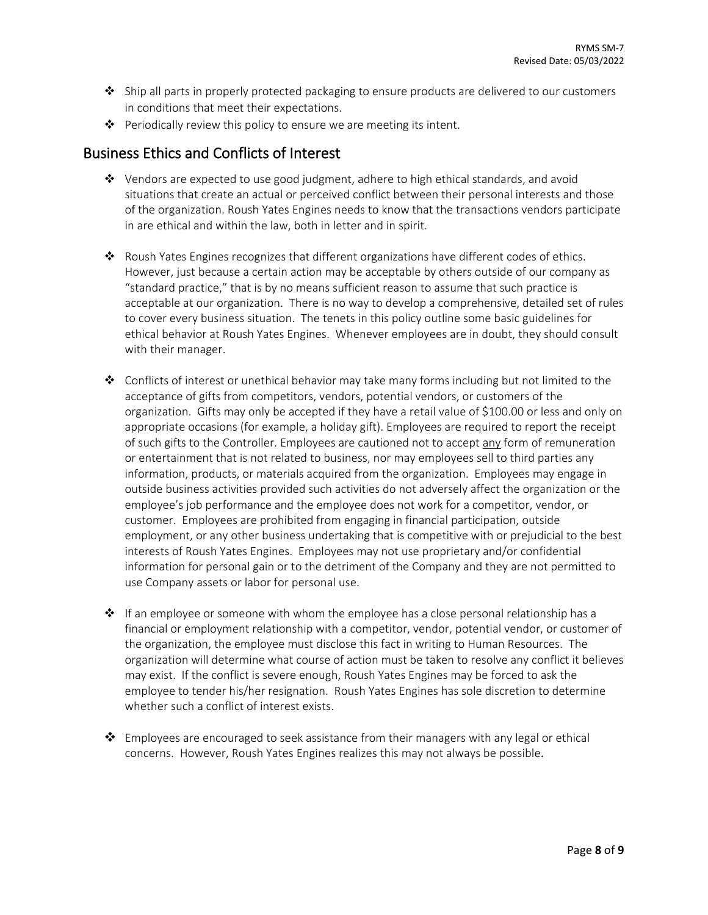- $\clubsuit$  Ship all parts in properly protected packaging to ensure products are delivered to our customers in conditions that meet their expectations.
- $\cdot \cdot$  Periodically review this policy to ensure we are meeting its intent.

#### Business Ethics and Conflicts of Interest

- $\clubsuit$  Vendors are expected to use good judgment, adhere to high ethical standards, and avoid situations that create an actual or perceived conflict between their personal interests and those of the organization. Roush Yates Engines needs to know that the transactions vendors participate in are ethical and within the law, both in letter and in spirit.
- $\triangle$  Roush Yates Engines recognizes that different organizations have different codes of ethics. However, just because a certain action may be acceptable by others outside of our company as "standard practice," that is by no means sufficient reason to assume that such practice is acceptable at our organization. There is no way to develop a comprehensive, detailed set of rules to cover every business situation. The tenets in this policy outline some basic guidelines for ethical behavior at Roush Yates Engines. Whenever employees are in doubt, they should consult with their manager.
- $\triangleleft$  Conflicts of interest or unethical behavior may take many forms including but not limited to the acceptance of gifts from competitors, vendors, potential vendors, or customers of the organization. Gifts may only be accepted if they have a retail value of \$100.00 or less and only on appropriate occasions (for example, a holiday gift). Employees are required to report the receipt of such gifts to the Controller. Employees are cautioned not to accept any form of remuneration or entertainment that is not related to business, nor may employees sell to third parties any information, products, or materials acquired from the organization. Employees may engage in outside business activities provided such activities do not adversely affect the organization or the employee's job performance and the employee does not work for a competitor, vendor, or customer. Employees are prohibited from engaging in financial participation, outside employment, or any other business undertaking that is competitive with or prejudicial to the best interests of Roush Yates Engines. Employees may not use proprietary and/or confidential information for personal gain or to the detriment of the Company and they are not permitted to use Company assets or labor for personal use.
- $\cdot \cdot$  If an employee or someone with whom the employee has a close personal relationship has a financial or employment relationship with a competitor, vendor, potential vendor, or customer of the organization, the employee must disclose this fact in writing to Human Resources. The organization will determine what course of action must be taken to resolve any conflict it believes may exist. If the conflict is severe enough, Roush Yates Engines may be forced to ask the employee to tender his/her resignation. Roush Yates Engines has sole discretion to determine whether such a conflict of interest exists.
- $\clubsuit$  Employees are encouraged to seek assistance from their managers with any legal or ethical concerns. However, Roush Yates Engines realizes this may not always be possible.